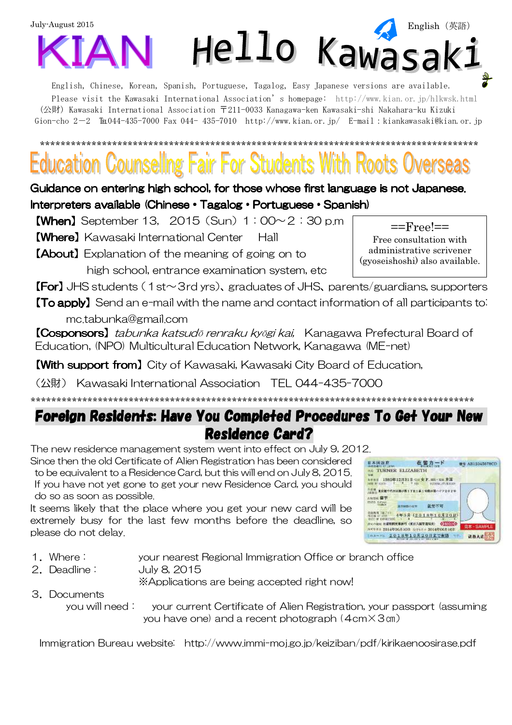

English, Chinese, Korean, Spanish, Portuguese, Tagalog, Easy Japanese versions are available. Please visit the Kawasaki International Association's homepage: http://www.kian.or.jp/hlkwsk.html (公財) Kawasaki International Association 〒211-0033 Kanagawa-ken Kawasaki-shi Nakahara-ku Kizuki Gion-cho 2-2  $\text{Th}044-435-7000$  Fax 044-435-7010 http://www.kian.or.jp/ E-mail:kiankawasaki@kian.or.jp

# \*\*\*\*\*\*\*\*\*\*\*\*\*\*\*\*\*\*\*\*\*\*\*\*\*\*\*\*\*\*\*\*\*\*\*\*\*\*\*\*\*\*\*\*\*\*\*\*\*\*\*\*\*\*\*\*\*\*\*\*\*\*\*\*\*\*\*\*\*\*\*\*\*\*\*\*\*\*\*\*\*\*\*\*\*

Guidance on entering high school, for those whose first language is not Japanese. Interpreters available (Chinese • Tagalog • Portuguese • Spanish)

**[When]** September 13,  $2015$  (Sun)  $1:00 \sim 2:30$  p.m

【Where】Kawasaki International Center Hall

【About】Explanation of the meaning of going on to high school, entrance examination system, etc

**[For]** JHS students (1st $\sim$ 3rd yrs), graduates of JHS, parents/guardians, supporters

**[To apply]** Send an e-mail with the name and contact information of all participants to: mc.tabunka@gmail.com

【Cosponsors】tabunka katsudō renraku kyōgi kai, Kanagawa Prefectural Board of Education, (NPO) Multicultural Education Network, Kanagawa (ME-net)

**[With support from]** City of Kawasaki, Kawasaki City Board of Education,

(公財) Kawasaki International Association TEL 044-435-7000

## Foreign Residents: Have You Completed Procedures To Get Your New Residence Card?

\*\*\*\*\*\*\*\*\*\*\*\*\*\*\*\*\*\*\*\*\*\*\*\*\*\*\*\*\*\*\*\*\*\*\*\*\*\*\*\*\*\*\*\*\*\*\*\*\*\*\*\*\*\*\*\*\*\*\*\*\*\*\*\*\*\*\*\*\*\*\*\*\*\*\*\*\*\*\*\*\*\*\*\*\*\*

The new residence management system went into effect on July 9, 2012.

Since then the old Certificate of Alien Registration has been considered to be equivalent to a Residence Card, but this will end on July 8, 2015. If you have not yet gone to get your new Residence Card, you should do so as soon as possible.

It seems likely that the place where you get your new card will be extremely busy for the last few months before the deadline, so please do not delay.

| 日本国改和                                                                                                                    |         | 在留カード                     |       | 番号 AB12345678CD |
|--------------------------------------------------------------------------------------------------------------------------|---------|---------------------------|-------|-----------------|
| <b>RE TURNER ELIZABETH</b>                                                                                               |         |                           |       |                 |
| 1985年12月31日 <si bot="" hr="" td="" ·="" 女王、="" 米国<=""><td></td><td><b>BATTERAL/ITURINGON</b></td><td></td><td></td></si> |         | <b>BATTERAL/ITURINGON</b> |       |                 |
| $-20.311$                                                                                                                |         | 分類が暮ハイツ202年               |       |                 |
| ANSIS WY                                                                                                                 |         |                           |       |                 |
| SIVES Educat                                                                                                             | 少な時間の介護 | <b>REAL PROPERTY</b>      |       |                 |
| <b>CATE OF EXP</b>                                                                                                       |         | 1年3月 (2018年10月20日)        |       |                 |
| <b>おくの知ら 在装填開更常評可 OKE入園管理局長)</b><br>NV998 2014年06月10日 女性4月 8014年06月10日                                                   |         |                           | Эмого | 見本·SAMPLE       |
| 2014-1 2018年10月20日末で有効                                                                                                   |         |                           |       | 法務大臣            |

- 1.Where: your nearest Regional Immigration Office or branch office
- 2.Deadline: July 8, 2015

※Applications are being accepted right now!

- 3.Documents
	- you will need: your current Certificate of Alien Registration, your passport (assuming you have one) and a recent photograph (4cm×3㎝)

Immigration Bureau website: http://www.immi-moj.go.jp/keiziban/pdf/kirikaenoosirase.pdf

==Free!== Free consultation with administrative scrivener (gyoseishoshi) also available.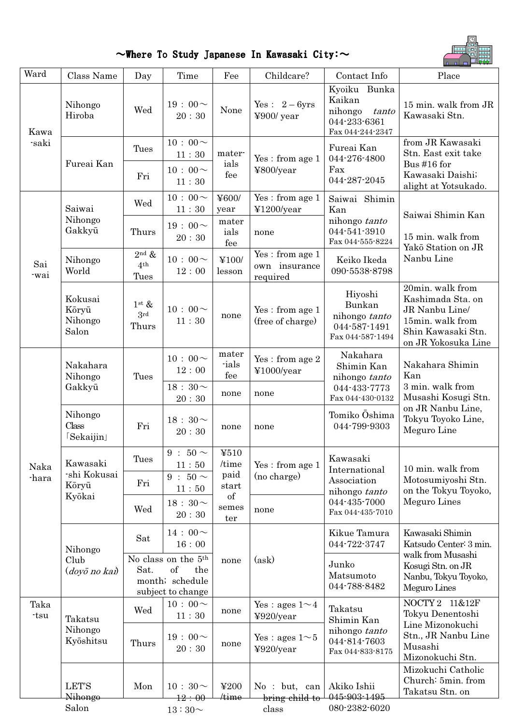$\sim$ Where To Study Japanese In Kawasaki City: $\sim$ 



| Ward          | Class Name                                  | Day                                                                                          | Time                                           | Fee                                | Childcare?                                        | Contact Info                                                                   | Place                                                                                                                    |
|---------------|---------------------------------------------|----------------------------------------------------------------------------------------------|------------------------------------------------|------------------------------------|---------------------------------------------------|--------------------------------------------------------------------------------|--------------------------------------------------------------------------------------------------------------------------|
| Kawa<br>saki  | Nihongo<br>Hiroba                           | Wed                                                                                          | $19:00 \sim$<br>20:30                          | None                               | Yes: $2-6yrs$<br>¥900/ year                       | Kyoiku Bunka<br>Kaikan<br>nihongo<br>tanto<br>044-233-6361<br>Fax 044-244-2347 | 15 min. walk from JR<br>Kawasaki Stn.                                                                                    |
|               | Fureai Kan                                  | Tues<br>Fri                                                                                  | $10:00 \sim$<br>11:30<br>$10:00 \sim$<br>11:30 | mater-<br>ials<br>fee              | Yes: from age 1<br>¥800/year                      | Fureai Kan<br>044-276-4800<br>Fax<br>044-287-2045                              | from JR Kawasaki<br>Stn. East exit take<br>Bus #16 for<br>Kawasaki Daishi;<br>alight at Yotsukado.                       |
| Sai<br>-wai   | Saiwai<br>Nihongo                           | Wed                                                                                          | $10:00 \sim$<br>11:30<br>$19:00 \sim$          | ¥600/<br>year<br>mater             | Yes: from age 1<br>¥1200/year                     | Saiwai Shimin<br>Kan<br>nihongo tanto                                          | Saiwai Shimin Kan                                                                                                        |
|               | Gakkyū<br>Nihongo                           | Thurs<br>$2^{\text{nd}}$ &                                                                   | 20:30<br>$10:00 \sim$                          | ials<br>fee<br>¥100/               | none<br>Yes: from age 1                           | 044-541-3910<br>Fax 044-555-8224<br>Keiko Ikeda                                | 15 min. walk from<br>Yakō Station on JR<br>Nanbu Line                                                                    |
|               | World                                       | $4^{\rm th}$<br>Tues                                                                         | 12:00                                          | lesson                             | own insurance<br>required                         | 090-5538-8798                                                                  |                                                                                                                          |
|               | Kokusai<br>Kōryū<br>Nihongo<br>Salon        | $1^{\rm st}$ &<br>3 <sup>rd</sup><br>Thurs                                                   | $10:00 \sim$<br>11:30                          | none                               | Yes: from age 1<br>(free of charge)               | Hiyoshi<br>Bunkan<br>nihongo tanto<br>044-587-1491<br>Fax 044-587-1494         | 20min. walk from<br>Kashimada Sta. on<br>JR Nanbu Line/<br>15min. walk from<br>Shin Kawasaki Stn.<br>on JR Yokosuka Line |
| Naka<br>-hara | Nakahara<br>Nihongo<br>Gakkyū               | Tues                                                                                         | $10:00 \sim$<br>12:00                          | mater<br>ials<br>fee               | Yes: from age 2<br>¥1000/year                     | Nakahara<br>Shimin Kan<br>Kan<br>nihongo tanto                                 | Nakahara Shimin                                                                                                          |
|               |                                             |                                                                                              | $18:30\sim$<br>20:30                           | none                               | none                                              | 044-433-7773<br>Fax 044-430-0132                                               | 3 min. walk from<br>Musashi Kosugi Stn.                                                                                  |
|               | Nihongo<br>Class<br>[Sekaijin]              | Fri                                                                                          | 18 : $30 \sim$<br>20:30                        | none                               | none                                              | Tomiko Ōshima<br>044-799-9303                                                  | on JR Nanbu Line,<br>Tokyu Toyoko Line,<br>Meguro Line                                                                   |
|               | Kawasaki<br>-shi Kokusai<br>Kōryū<br>Kyōkai | <b>Tues</b><br>Fri                                                                           | $9:50 \sim$<br>11:50<br>9 : $50 \sim$<br>11:50 | 4510<br>/time<br>paid<br>start     | Yes: from age 1<br>(no charge)                    | Kawasaki<br>International<br>Association<br>nihongo tanto                      | 10 min. walk from<br>Motosumiyoshi Stn.<br>on the Tokyu Toyoko,                                                          |
|               |                                             | Wed                                                                                          | $18:30\!\sim$<br>20:30                         | of<br>semes<br>ter                 | none                                              | 044-435-7000<br>Fax 044-435-7010                                               | Meguro Lines                                                                                                             |
|               | Nihongo<br>Club<br>(doyō no kai)            | Sat                                                                                          | $14:00 \sim$<br>16:00                          |                                    |                                                   | Kikue Tamura<br>044-722-3747                                                   | Kawasaki Shimin<br>Katsudo Center: 3 min.<br>walk from Musashi                                                           |
|               |                                             | No class on the 5 <sup>th</sup><br>of<br>Sat.<br>the<br>month; schedule<br>subject to change |                                                | none                               | (ask)                                             | Junko<br>Matsumoto<br>044-788-8482                                             | Kosugi Stn. on JR<br>Nanbu, Tokyu Toyoko,<br>Meguro Lines                                                                |
| Taka<br>-tsu  | Takatsu<br>Nihongo<br>Kyōshitsu             | Wed                                                                                          | $10:00 \sim$<br>$11:30$                        | none                               | Yes : ages $1 \sim 4$<br>¥920/year                | Takatsu<br>Shimin Kan                                                          | NOCTY 2 11&12F<br>Tokyu Denentoshi<br>Line Mizonokuchi                                                                   |
|               |                                             | $19:00 \sim$<br>Thurs<br>20:30                                                               | none                                           | Yes : ages $1 \sim 5$<br>¥920/year | nihongo tanto<br>044-814-7603<br>Fax 044-833-8175 | Stn., JR Nanbu Line<br>Musashi<br>Mizonokuchi Stn.                             |                                                                                                                          |
|               | <b>LET'S</b><br>Nihongo                     | Mon                                                                                          | $10:30 \sim$<br>12:00                          | ¥200<br>time/                      | No: but, can<br>bring child to                    | Akiko Ishii<br>045-903-1495                                                    | Mizokuchi Catholic<br>Church: 5min. from<br>Takatsu Stn. on                                                              |
|               | Salon                                       |                                                                                              | $13:30\mathtt{\sim}$                           |                                    | class                                             | 080-2382-6020                                                                  |                                                                                                                          |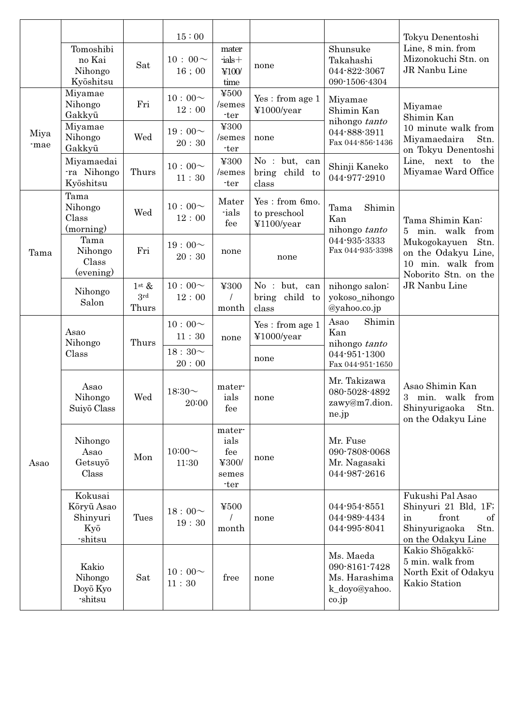|              |                                                    |                             | 15:00                 |                                                 |                                              |                                                                       | Tokyu Denentoshi                                                                                                                                                     |
|--------------|----------------------------------------------------|-----------------------------|-----------------------|-------------------------------------------------|----------------------------------------------|-----------------------------------------------------------------------|----------------------------------------------------------------------------------------------------------------------------------------------------------------------|
|              | Tomoshibi<br>no Kai<br>Nihongo<br>Kyōshitsu        | Sat                         | $10:00 \sim$<br>16;00 | mater<br>$-$ ials $+$<br>¥100/<br>time          | none                                         | Shunsuke<br>Takahashi<br>044-822-3067<br>090-1506-4304                | Line, 8 min. from<br>Mizonokuchi Stn. on<br>JR Nanbu Line                                                                                                            |
| Miya<br>-mae | Miyamae<br>Nihongo<br>Gakkyū                       | Fri                         | $10:00 \sim$<br>12:00 | ¥500<br>/semes<br>-ter                          | Yes: from age 1<br>¥1000/year                | Miyamae<br>Shimin Kan<br>nihongo tanto                                | Miyamae<br>Shimin Kan<br>10 minute walk from<br>Miyamaedaira<br>Stn.<br>on Tokyu Denentoshi<br>Line, next to the<br>Miyamae Ward Office                              |
|              | Miyamae<br>Nihongo<br>Gakkyū                       | Wed                         | 19:00~<br>20:30       | ¥300<br>/semes<br>-ter                          | none                                         | 044-888-3911<br>Fax 044-856-1436                                      |                                                                                                                                                                      |
|              | Miyamaedai<br>ra Nihongo<br>Kyōshitsu              | Thurs                       | $10:00 \sim$<br>11:30 | ¥300<br>/semes<br>-ter                          | No : but, can<br>bring child to<br>class     | Shinji Kaneko<br>044-977-2910                                         |                                                                                                                                                                      |
| Tama         | Tama<br>Nihongo<br>Class<br>(morning)              | Wed                         | $10:00 \sim$<br>12:00 | Mater<br>-ials<br>fee                           | Yes: from 6mo.<br>to preschool<br>¥1100/year | Shimin<br>Tama<br>Kan<br>nihongo tanto                                | Tama Shimin Kan:<br>min. walk<br>from<br>5 <sup>5</sup><br>Mukogokayuen<br>Stn.<br>on the Odakyu Line,<br>10 min. walk from<br>Noborito Stn. on the<br>JR Nanbu Line |
|              | Tama<br>Nihongo<br>Class<br>(evening)              | Fri                         | 19:00~<br>20:30       | none                                            | none                                         | 044-935-3333<br>Fax 044-935-3398                                      |                                                                                                                                                                      |
|              | Nihongo<br>Salon                                   | $1$ st $\&$<br>3rd<br>Thurs | $10:00 \sim$<br>12:00 | ¥300<br>month                                   | No : but, can<br>bring child to<br>class     | nihongo salon:<br>yokoso_nihongo<br>@yahoo.co.jp                      |                                                                                                                                                                      |
| Asao         | Asao<br>Nihongo<br>Class                           | Thurs                       | $10:00 \sim$<br>11:30 | none                                            | Yes: from age 1<br>¥1000/year                | Shimin<br>Asao<br>Kan<br>nihongo tanto                                | Asao Shimin Kan<br>3 min. walk from<br>Shinyurigaoka<br>Stn.<br>on the Odakyu Line                                                                                   |
|              |                                                    |                             | $18:30\sim$<br>20:00  |                                                 | none                                         | 044-951-1300<br>Fax 044-951-1650                                      |                                                                                                                                                                      |
|              | Asao<br>Nihongo<br>Suiyō Class                     | Wed                         | 18:30 $\sim$<br>20:00 | mater-<br>ials<br>fee                           | none                                         | Mr. Takizawa<br>080-5028-4892<br>zawy@m7.dion.<br>ne.jp               |                                                                                                                                                                      |
|              | Nihongo<br>Asao<br>Getsuyō<br>Class                | Mon                         | $10:00 \sim$<br>11:30 | mater-<br>ials<br>fee<br>¥300/<br>semes<br>-ter | none                                         | Mr. Fuse<br>090-7808-0068<br>Mr. Nagasaki<br>044-987-2616             |                                                                                                                                                                      |
|              | Kokusai<br>Kōryū Asao<br>Shinyuri<br>Kyō<br>shitsu | Tues                        | $18:00\sim$<br>19:30  | ¥500<br>$\prime$<br>month                       | none                                         | 044-954-8551<br>044-989-4434<br>044-995-8041                          | Fukushi Pal Asao<br>Shinyuri 21 Bld, 1F;<br>front<br>in<br>of<br>Stn.<br>Shinyurigaoka<br>on the Odakyu Line                                                         |
|              | Kakio<br>Nihongo<br>Doyō Kyo<br>shitsu             | Sat                         | $10:00 \sim$<br>11:30 | free                                            | none                                         | Ms. Maeda<br>090-8161-7428<br>Ms. Harashima<br>k_doyo@yahoo.<br>co.jp | Kakio Shōgakkō:<br>5 min. walk from<br>North Exit of Odakyu<br>Kakio Station                                                                                         |